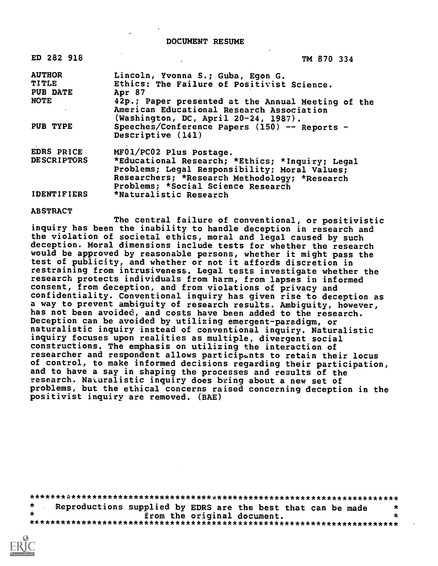| ED 282 918         | TM 870 334                                                                                                                                                                              |
|--------------------|-----------------------------------------------------------------------------------------------------------------------------------------------------------------------------------------|
| <b>AUTHOR</b>      | Lincoln, Yvonna S.; Guba, Egon G.                                                                                                                                                       |
| <b>TITLE</b>       | Ethics: The Failure of Positivist Science.                                                                                                                                              |
| PUB DATE           | Apr 87                                                                                                                                                                                  |
| <b>NOTE</b>        | 42p.; Paper presented at the Annual Meeting of the<br>American Educational Research Association<br>(Washington, DC, April 20-24, 1987).                                                 |
| PUB TYPE           | Speeches/Conference Papers (150) -- Reports -<br>Descriptive (141)                                                                                                                      |
| EDRS PRICE         | MF01/PC02 Plus Postage.                                                                                                                                                                 |
| <b>DESCRIPTORS</b> | *Educational Research; *Ethics; *Inquiry; Legal<br>Problems; Legal Responsibility; Moral Values;<br>Researchers; *Research Methodology; *Research<br>Problems; *Social Science Research |
| <b>IDENTIFIERS</b> | *Naturalistic Research                                                                                                                                                                  |

#### ABSTRACT

The central failure of conventional, or positivistic inquiry has been the inability to handle deception in research and the violation of societal ethics, moral and legal caused by such deception. Moral dimensions include tests for whether the research would be approved by reasonable persons, whether it might pass the test of publicity, and whether or not it affords discretion in restraining from intrusiveness. Legal tests investigate whether the research protects individuals from harm, from lapses in informed consent, from deception, and from violations of privacy and confidentiality. Conventional inquiry has given rise to deception as a way to prevent ambiguity of research results. Ambiguity, however, has not been avoided, and costs have been added to the research. Deception can be avoided by utilizing emergent-paradigm, or naturalistic inquiry instead of conventional inquiry. Naturalistic inquiry focuses upon realities as multiple, divergent social constructions. The emphasis on utilizing the interaction of researcher and respondent allows participants to retain their locus of control, to make informed decisions regarding their participation, and to have a say in shaping the processes and results of the research. Naturalistic inquiry does bring about a new set of problems, but the ethical concerns raised concerning deception in the positivist inquiry are removed. (BAE)

\*\*\*\*\*\*\*\*\*\*\*\*\*\*\*\*\*\*\*\*\*\*\*\*\*\*\*\*\*\*\*\*\*\*x\*\*\*\*\*\*\*\*\*\*\*\*\*\*\*\*\*\*\*\*\*\*\*\*\*\*\*\*\*\*\*\*\*\*\* Reproductions supplied by EDRS are the best that can be made  $*$ <br>from the original document. from the original document. \*\*\*\*\*\*\*\*\*\*\*\*\*\*\*\*\*\*\*\*\*\*\*\*\*\*\*\*\*\*\*\*\*\*\*\*\*\*\*\*\*\*\*\*\*\*\*\*\*\*\*\*\*\*\*\*\*\*\*\*\*\*\*\*\*\*\*\*\*\*\*

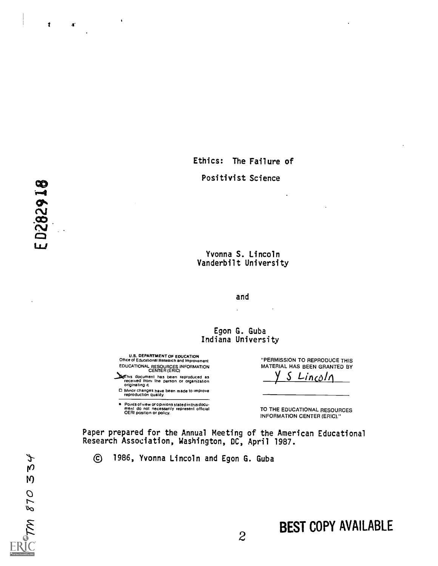Ethics: The Failure of Positivist Science

# Yvonna S. Lincoln

## Vanderbilt University

and

 $\ddot{\phantom{a}}$ 

### Egon G. Guba Indiana University

U.S. DEPARTMENT OF EDUCATION Office of Educational Research and Improvement EDUCATIONAL RESOURCES INFORMATION CENTER (ERIC)

 $\bullet$ 

**Nothis document has been reproduced as<br>received Iron. the person or organization**<br>originating it.

0 Minor changes have been made to improve reproduction quality.

Points of view or opinions stated in this docu . ment do not necessarily represent official OERI position or policy.

"PERMISSION TO REPRODUCE THIS MATERIAL HAS BEEN GRANTED BY S Lincoln

TO THE EDUCATIONAL RESOURCES INFORMATION CENTER (ERIC)."

Paper prepared for the Annual Meeting of the American Educational Research Association, Washington, DC, April 1987.

 $\odot$ 1986, Yvonna Lincoln and Egon G. Guba

# BEST COPY AVAILABLE

 $\mathbf{z}$ 

ED282918

とり

 $\mathsf{M}$ 

TM 870

 $\ddagger$ 

 $\mathbf{T}$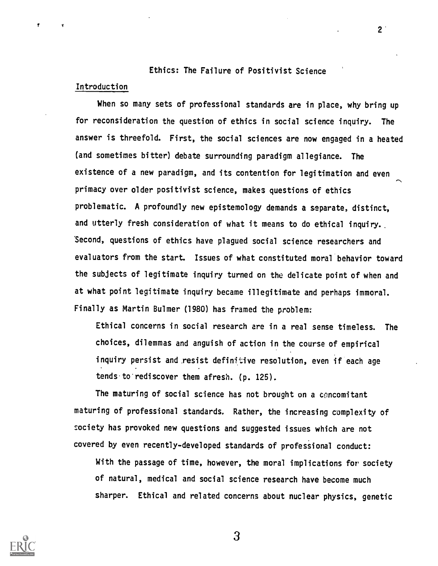## Ethics: The Failure of Positivist Science

### Introduction

 $\mathbf{f}$ 

When so many sets of professional standards are in place, why bring up for reconsideration the question of ethics in social science inquiry. The answer is threefold. First, the social sciences are now engaged in a heated (and sometimes bitter) debate surrounding paradigm allegiance. The existence of a new paradigm, and its contention for legitimation and even primacy over older positivist science, makes questions of ethics problematic. A profoundly new epistemology demands a separate, distinct, and utterly fresh consideration of what it means to do ethical inquiry.. Second, questions of ethics have plagued social science researchers and evaluators from the start. Issues of what constituted moral behavior toward the subjects of legitimate inquiry turned on the delicate point of when and at what point legitimate inquiry became illegitimate and perhaps immoral. Finally as Martin Bulmer (1980) has framed the problem:

Ethical concerns in social research are in a real sense timeless. The choices, dilemmas and anguish of action in the course of empirical inquiry persist and resist definitive resolution, even if each age tends to rediscover them afresh. (p. 125).

The maturing of social science has not brought on a concomitant maturing of professional standards. Rather, the increasing complexity of society has provoked new questions and suggested issues which are not covered by even recently-developed standards of professional conduct:

With the passage of time, however, the moral implications for society of natural, medical and social science research have become much sharper. Ethical and related concerns about nuclear physics, genetic



3

 $2<sup>1</sup>$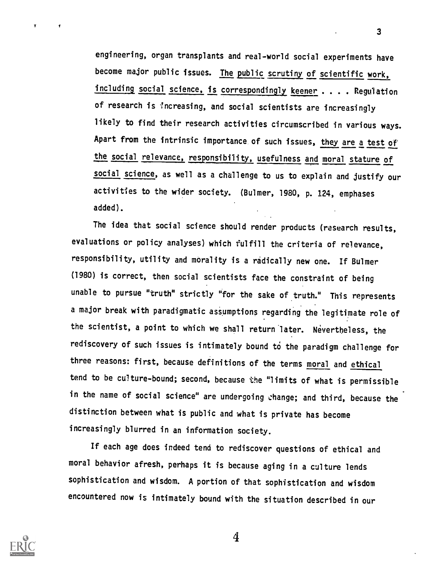engineering, organ transplants and real-world social experiments have become major public issues. The public scrutiny of scientific work, including social science, is correspondingly keener . . . . Regulation of research is increasing, and social scientists are increasingly likely to find their research activities circumscribed in various ways. Apart from the intrinsic importance of such issues, they are a test of the social relevance, responsibility, usefulness and moral stature of social science, as well as a challenge to us to explain and justify our activities to the wider society. (Bulmer, 1980, P. 124, emphases added).

3

The idea that social science should render products (research results, evaluations or policy analyses) which fulfill the criteria of relevance, responsibility, utility and morality is a radically new one. If Bulmer (1980) is correct, then social scientists face the constraint of being unable to pursue "truth" strictly "for the sake of truth." This represents a major break with paradigmatic assumptions regarding the legitimate role of the scientist, a point to which we shall return later. Nevertheless, the rediscovery of such issues is intimately bound to the paradigm challenge for three reasons: first, because definitions of the terms moral and ethical tend to be culture-bound; second, because the "limits of what is permissible in the name of social science" are undergoing change; and third, because the distinction between what is public and what is private has become increasingly blurred in an information society.

If each age does indeed tend to rediscover questions of ethical and moral behavior afresh, perhaps it is because aging in a culture lends sophistication and wisdom. A portion of that sophistication and wisdom encountered now is intimately bound with the situation described in our

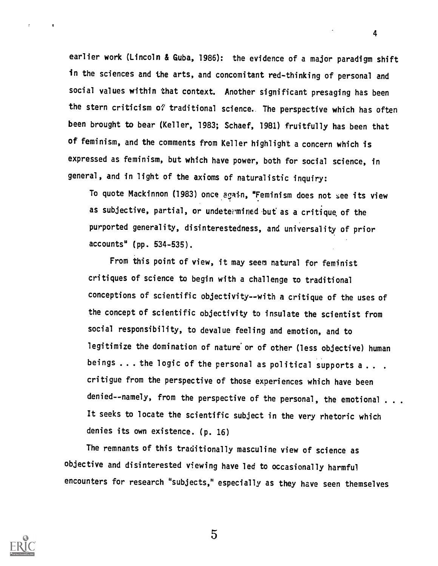earlier work (Lincoln & Guba, 1986): the evidence of a major paradigm shift in the sciences and the arts, and concomitant red-thinking of personal and social values within that context. Another significant presaging has been the stern criticism of traditional science. The perspective which has often been brought to bear (Keller, 1983; Schaef, 1981) fruitfully has been that of feminism, and the comments from Keller highlight a concern which is expressed as feminism, but which have power, both for social science, in general, and in light of the axioms of naturalistic inquiry:

To quote Mackinnon (1983) once again, "Feminism does not see its view as subjective, partial, or undetermined but as a critique of the purported generality, disinterestedness, and universality of prior accounts" (pp. 534-535).

From this point of view, it may seem natural for feminist critiques of science to begin with a challenge to traditional conceptions of scientific objectivity--with a critique of the uses of the concept of scientific objectivity to insulate the scientist from social responsibility, to devalue feeling and emotion, and to legitimize the domination of nature or of other (less objective) human beings ... the logic of the personal as political supports a... critigue from the perspective of those experiences which have been denied--namely, from the perspective of the personal, the emotional . . . It seeks to locate the scientific subject in the very rhetoric which denies its own existence. (p. 16)

The remnants of this traditionally masculine view of science as objective and disinterested viewing have led to occasionally harmful encounters for research "subjects," especially as they have seen themselves



 $\pmb{\tau}$ 

5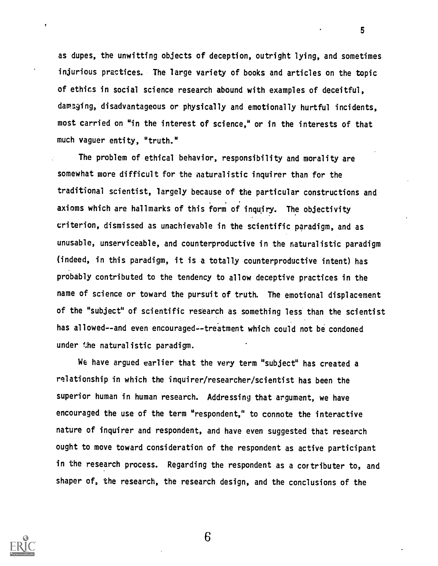as dupes, the unwitting objects of deception, outright lying, and sometimes injurious practices. The large variety of books and articles on the topic of ethics in social science research abound with examples of deceitful, damaging, disadvantageous or physically and emotionally hurtful incidents, most carried on "in the interest of science," or in the interests of that much vaguer entity, "truth."

The problem of ethical behavior, responsibility and morality are somewhat more difficult for the naturalistic inquirer than for the traditional scientist, largely because of the particular constructions and axioms which are hallmarks of this form of inquiry. The objectivity criterion, dismissed as unachievable in the scientific paradigm, and as unusable, unserviceable, and counterproductive in the naturalistic paradigm (indeed, in this paradigm, it is a totally counterproductive intent) has probably contributed to the tendency to allow deceptive practices in the name of science or toward the pursuit of truth. The emotional displacement of the "subject" of scientific research as something less than the scientist has allowed--and even encouraged--treatment which could not be condoned under the naturalistic paradigm.

We have argued earlier that the very term "subject" has created a relationship in which the inquirer/researcher/scientist has been the superior human in human research. Addressing that argument, we have encouraged the use of the term "respondent," to connote the interactive nature of inquirer and respondent, and have even suggested that research ought to move toward consideration of the respondent as active participant in the research process. Regarding the respondent as a cortributer to, and shaper of, the research, the research design, and the conclusions of the



 $\pmb{\mathrm{y}}$ 

6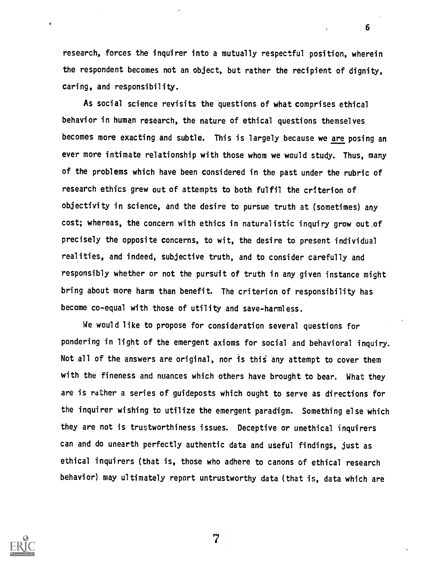research, forces the inquirer into a mutually respectful position, wherein the respondent becomes not an object, but rather the recipient of dignity, caring, and responsibility.

6

As social science revisits the questions of what comprises ethical behavior in human research, the nature of ethical questions themselves becomes more exacting and subtle. This is largely because we are posing an ever more intimate relationship with those whom we would study. Thus, many of the problems which have been considered in the past under the rubric of research ethics grew out of attempts to both fulfil the criterion of objectivity in science, and the desire to pursue truth at (sometimes) any cost; whereas, the concern with ethics in naturalistic inquiry grow out.of precisely the opposite concerns, to wit, the desire to present individual realities, and indeed, subjective truth, and to consider carefully and responsibly whether or not the pursuit of truth in any given instance might bring about more harm than benefit. The criterion of responsibility has become co-equal with those of utility and save-harmless.

We would like to propose for consideration several questions for pondering in light of the emergent axioms for social and behavioral inquiry. Not all of the answers are original, nor is this any attempt to cover them with the fineness and nuances which others have brought to bear. What they are is rather a series of guideposts which ought to serve as directions for the inquirer wishing to utilize the emergent paradigm. Something else which they are not is trustworthiness issues. Deceptive or unethical inquirers can and do unearth perfectly authentic data and useful findings, just as ethical inquirers (that is, those who adhere to canons of ethical research behavior) may ultimately report untrustworthy data (that is, data which are



 $\pmb{\mathfrak{r}}$ 

 $\overline{7}$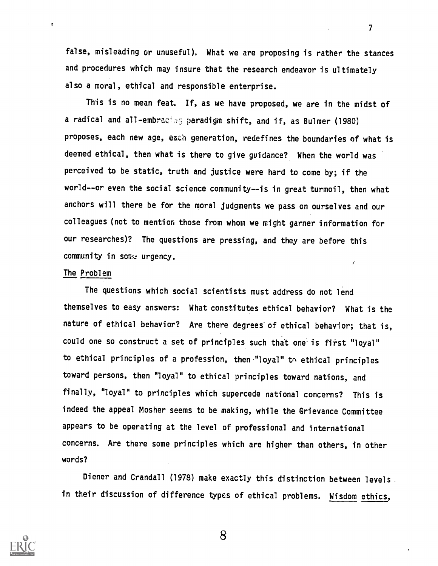false, misleading or unuseful). What we are proposing is rather the stances and procedures which may insure that the research endeavor is ultimately also a moral, ethical and responsible enterprise.

This is no mean feat. If, as we have proposed, we are in the midst of a radical and all-embracing paradigm shift, and if, as Bulmer (1980) proposes, each new age, each generation, redefines the boundaries of what is deemed ethical, then what is there to give guidance? When the world was perceived to be static, truth and justice were hard to come by; if the world--or even the social science community--is in great turmoil, then what anchors will there be for the moral judgments we pass on ourselves and our colleagues (not to mention those from whom we might garner information for our researches)? The questions are pressing, and they are before this community in some urgency.  $\prime$ 

### The Problem

The questions which social scientists must address do not lend themselves to easy answers: What constitutes ethical behavior? What is the nature of ethical behavior? Are there degrees of ethical behavior; that is, could one so construct a set of principles such that one is first "loyal" to ethical principles of a profession, then "loyal" to ethical principles toward persons, then "loyal" to ethical principles toward nations, and finally, "loyal" to principles which supercede national concerns? This is indeed the appeal Mosher seems to be making, while the Grievance Committee appears to be operating at the level of professional and international concerns. Are there some principles which are higher than others, in other words?

Diener and Crandall (1978) make exactly this distinction between levels in their discussion of difference types of ethical problems. Wisdom ethics,



8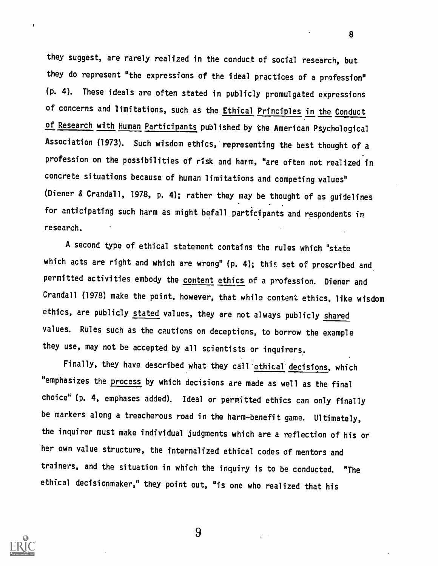they suggest, are rarely realized in the conduct of social research, but they do represent "the expressions of the ideal practices of a profession" (p. 4). These ideals are often stated in publicly promulgated expressions of concerns and limitations, such as the *Ethical Principles in the Conduct* of Research with Human Participants published by the American Psychological Association (1973). Such wisdom ethics, representing the best thought of a profession on the possibilities of risk and harm, "are often not realized in concrete situations because of human limitations and competing values" (Diener & Crandall, 1978, p. 4); rather they may be thought of as guidelines for anticipating such harm as might befall participants and respondents in research.

A second type of ethical statement contains the rules which "state which acts are right and which are wrong" (p. 4); this set of proscribed and permitted activities embody the content ethics of a profession. Diener and Crandall (1978) make the point, however, that while content ethics, like wisdom ethics, are publicly stated values, they are not always publicly shared values. Rules such as the cautions on deceptions, to borrow the example they use, may not be accepted by all scientists or inquirers.

Finally, they have described what they call'ethical'decisions, which "emphasizes the process by which decisions are made as well as the final choice" (p. 4, emphases added). Ideal or permitted ethics can only finally be markers along a treacherous road in the harm-benefit game. Ultimately, the inquirer must make individual judgments which are a reflection of his or her own value structure, the internalized ethical codes of mentors and trainers, and the situation in which the inquiry is to be conducted. "The ethical decisionmaker," they point out, "is one who realized that his



9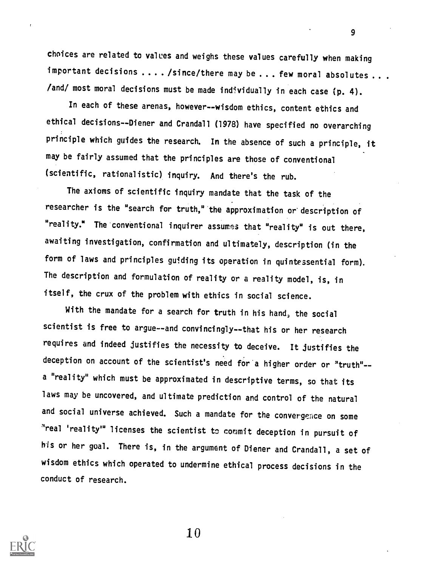choices are related to values and weighs these values carefully when making important decisions .... /since/there may be ... few moral absolutes ... /and/ most moral decisions must be made individually in each case (p. 4).

In each of these arenas, however--wisdom ethics, content ethics and ethical decisions--Diener and Crandall (1978) have specified no overarching principle which guides the research. In the absence of such a principle, it may be fairly assumed that the principles are those of conventional (scientific, rationalistic) inquiry. And there's the rub.

The axioms of scientific inquiry mandate that the task of the researcher is the "search for truth," the approximation or description of "reality." The conventional inquirer assumes that "reality" is out there, awaiting investigation, confirmation and ultimately, description (in the form of laws and principles guiding its operation in quintessential form). The description and formulation of reality or a reality model, is, in itself, the crux of the problem with ethics in social science.

With the mandate for a search for truth in his hand, the social scientist is free to argue--and convincingly--that his or her research requires and indeed justifies the necessity to deceive. It justifies the deception on account of the scientist's need for a higher order or "truth"- a "reality" which must be approximated in descriptive terms, so that its laws may be uncovered, and ultimate prediction and control of the natural and social universe achieved. Such a mandate for the convergence on some "real 'reality" licenses the scientist to commit deception in pursuit of his or her goal. There is, in the argument of Diener and Crandall, a set of wisdom ethics which operated to undermine ethical process decisions in the conduct of research.



10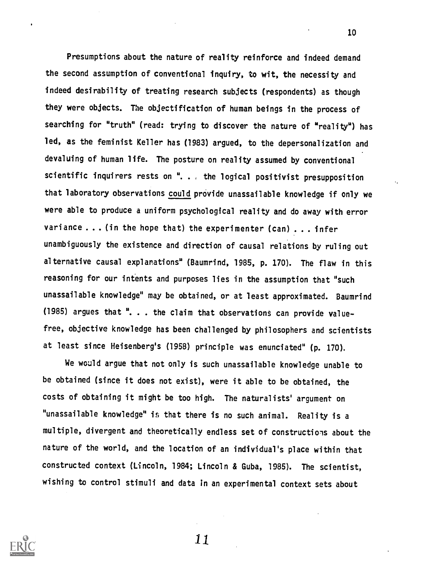Presumptions about the nature of reality reinforce and indeed demand the second assumption of conventional inquiry, to wit, the necessity and indeed desirability of treating research subjects (respondents) as though they were objects. The objectification of human beings in the process of searching for "truth" (read: trying to discover the nature of "reality") has led, as the feminist Keller has (1983) argued, to the depersonalization and devaluing of human life. The posture on reality assumed by conventional scientific inquirers rests on ". , the logical positivist presupposition that laboratory observations could provide unassailable knowledge if only we were able to produce a uniform psychological reality and do away with error variance . . . (in the hope that) the experimenter (can) . . . infer unambiguously the existence and direction of causal relations by ruling out alternative causal explanations" (Baumrind, 1985, p. 170). The flaw in this reasoning for our intents and purposes lies in the assumption that "such unassailable knowledge" may be obtained, or at least approximated. Baumrind (1985) argues that ". . . the claim that observations can provide valuefree, objective knowledge has been challenged by philosophers and scientists at least since Heisenberg's (1958) principle was enunciated" (p. 170).

We wauld argue that not only is such unassailable knowledge unable to be obtained (since it does not exist), were it able to be obtained, the costs of obtaining it might be too high. The naturalists' argument on "unassailable knowledge" is that there is no such animal. Reality is a multiple, divergent and theoretically endless set of constructions about the nature of the world, and the location of an individual's place within that constructed context (Lincoln, 1984; Lincoln & Guba, 1985). The scientist, wishing to control stimuli and data in an experimental context sets about

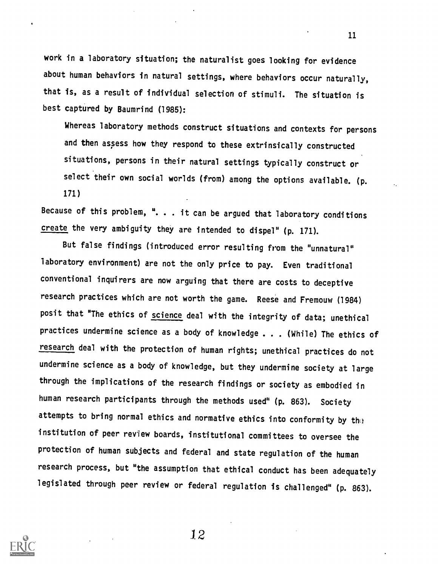work in a laboratory situation; the naturalist goes looking for evidence about human behaviors in natural settings, where behaviors occur naturally, that is, as a result of individual selection of stimuli. The situation is best captured by Baumrind (1985):

Whereas laboratory methods construct situations and contexts for persons and then assess how they respond to these extrinsically constructed situations, persons in their natural settings typically construct or select their own social worlds (from) among the options available. (p. 171)

Because of this problem,  $\overline{a}$ ... it can be argued that laboratory conditions create the very ambiguity they are intended to dispel" (p. 171).

But false findings (introduced error resulting from the "unnatural" laboratory environment) are not the only price to pay. Even traditional conventional inquirers are now arguing that there are costs to deceptive research practices which are not worth the game. Reese and Fremouw (1984) posit that "The ethics of science deal with the integrity of data; unethical practices undermine science as a body of knowledge . . . (While) The ethics of research deal with the protection of human rights; unethical practices do not undermine science as a body of knowledge, but they undermine society at large through the implications of the research findings or society as embodied in human research participants through the methods used" (p. 863). Society attempts to bring normal ethics and normative ethics into conformity by the institution of peer review boards, institutional committees to oversee the protection of human subjects and federal and state regulation of the human research process, but "the assumption that ethical conduct has been adequately legislated through peer review or federal regulation is challenged" (p. 863).



12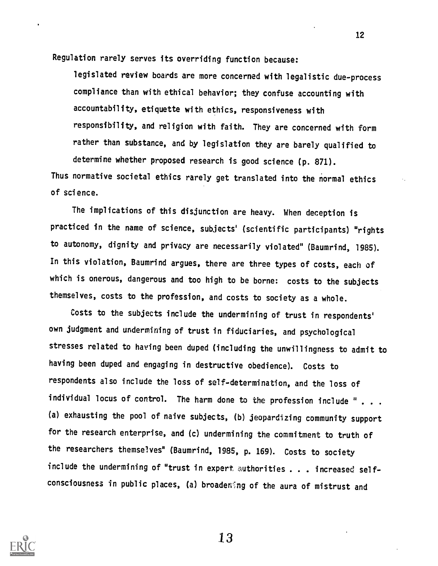Regulation rarely serves its overriding function because:

legislated review boards are more concerned with legalistic due-process compliance than with ethical behavior; they confuse accounting with accountability, etiquette with ethics, responsiveness with responsibility, and religion with faith. They are concerned with form rather than substance, and by legislation they are barely qualified to determine whether proposed research is good science (p. 871).

Thus normative societal ethics rarely get translated into the normal ethics of science.

The implications of this disjunction are heavy. When deception is practiced in the name of science, subjects' (scientific participants) "rights to autonomy, dignity and privacy are necessarily violated" (Baumrind, 1985). In this violation, Baumrind argues, there are three types of costs, each of which is onerous, dangerous and too high to be borne: costs to the subjects themselves, costs to the profession, and costs to society as a whole.

Costs to the subjects include the undermining of trust in respondents' own judgment and undermining of trust in fiduciaries, and psychological stresses related to having been duped (including the unwillingness to admit to having been duped and engaging in destructive obedience). Costs to respondents also include the loss of self-determination, and the loss of individual locus of control. The harm done to the profession include " . . . (a) exhausting the pool of naive subjects, (b) jeopardizing community support for the research enterprise, and (c) undermining the commitment to truth of the researchers themselves" (Baumrind, 1985, p. 169). Costs to society include the undermining of "trust in expert authorities . . . increased selfconsciousness in public places, (a) broadening of the aura of mistrust and



13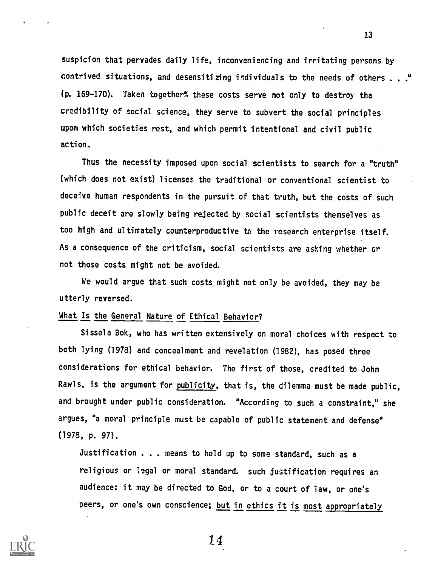suspicion that pervades daily life, inconveniencing and irritating persons by contrived situations, and desensitizing individuals to the needs of others . . ." (p. 169-170). Taken together% these costs serve not only to destroy tha credibility of social science, they serve to subvert the social principles upon which societies rest, and which permit intentional and civil public action,

Thus the necessity imposed upon social scientists to search for a "truth" (which does not exist) licenses the traditional or conventional scientist to deceive human respondents in the pursuit of that truth, but the costs of such public deceit are slowly being rejected by social scientists themselves as too high and ultimately counterproductive to the research enterprise itself. As a consequence of the criticism, social scientists are asking whether or not those costs might not be avoided.

We would argue that such costs might not only be avoided, they may be utterly reversed.

## What Is the General Nature of Ethical Behavior?

Sissela Bok, who has written extensively on moral choices with respect to both lying (1978) and concealment and revelation (1982), has posed three considerations for ethical behavior. The first of those, credited to John Rawls, is the argument for publicity, that is, the dilemma must be made public, and brought under public consideration. "According to such a constraint," she argues, "a moral principle must be capable of public statement and defense" (1978, p. 97).

Justification . . . means to hold up to some standard, such as a religious or legal or moral standard. such justification requires an audience: it may be directed to God, or to a court of law, or one's peers, or one's own conscience; but in ethics it is most appropriately



114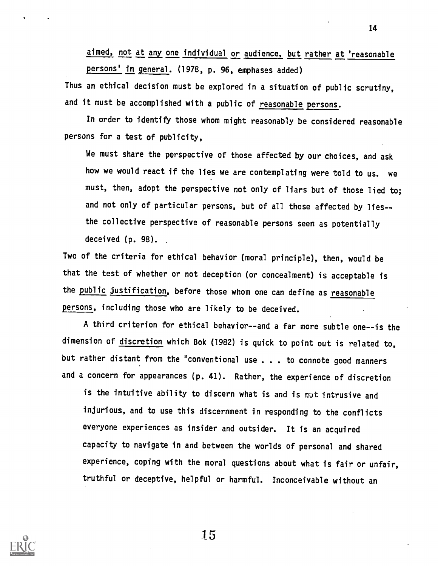aimed, not at any one individual or audience, but rather at 'reasonable persons' in general. (1978, p. 96, emphases added)

Thus an ethical decision must be explored in a situation of public scrutiny, and it must be accomplished with a public of reasonable persons.

In order to identify those whom might reasonably be considered reasonable persons for a test of publicity,

We must share the perspective of those affected by our choices, and ask how we would react if the lies we are contemplating were told to us. we must, then, adopt the perspective not only of liars but of those lied to; and not only of particular persons, but of all those affected by lies- the collective perspective of reasonable persons seen as potentially deceived (p. 98).

Two of the criteria for ethical behavior (moral principle), then, would be that the test of whether or not deception (or concealment) is acceptable is the public justification, before those whom one can define as reasonable persons, including those who are likely to be deceived.

A third criterion for ethical behavior--and a far more subtle one--is the dimension of discretion which Bok (1982) is quick to point out is related to, but rather distant from the "conventional use . . . to connote good manners and a concern for appearances (p. 41). Rather, the experience of discretion

is the intuitive ability to discern what is and is not intrusive and injurious, and to use this discernment in responding to the conflicts everyone experiences as insider and outsider. It is an acquired capacity to navigate in and between the worlds of personal and shared experience, coping with the moral questions about what is fair or unfair, truthful or deceptive, helpful or harmful. Inconceivable without an

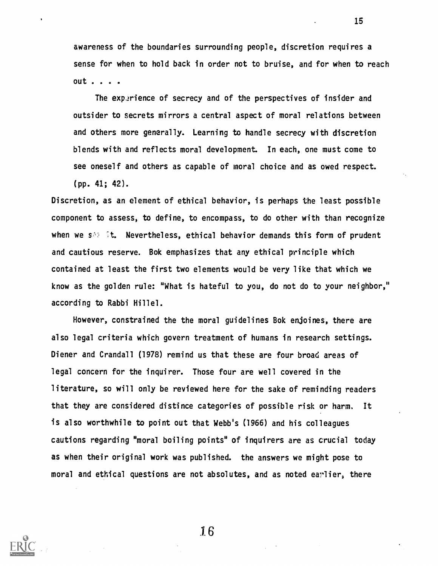awareness of the boundaries surrounding people, discretion requires a sense for when to hold back in order not to bruise, and for when to reach out .

The experience of secrecy and of the perspectives of insider and outsider to secrets mirrors a central aspect of moral relations between and others more generally. Learning to handle secrecy with discretion blends with and reflects moral development. In each, one must come to see oneself and others as capable of moral choice and as owed respect. (pp. 41; 42).

Discretion, as an element of ethical behavior, is perhaps the least possible component to assess, to define, to encompass, to do other with than recognize when we  $s \geq 1$ t. Nevertheless, ethical behavior demands this form of prudent and cautious reserve. Bok emphasizes that any ethical principle which contained at least the first two elements would be very like that which we know as the golden rule: "What is hateful to you, do not do to your neighbor," according to Rabbi Hillel.

However, constrained the the moral guidelines Bok enjoines, there are also legal criteria which govern treatment of humans in research settings. Diener and Crandall (1978) remind us that these are four broad areas of legal concern for the inquirer. Those four are well covered in the literature, so will only be reviewed here for the sake of reminding readers that they are considered distince categories of possible risk or harm, It is also worthwhile to point out that Webb's (1966) and his colleagues cautions regarding "moral boiling points" of inquirers are as crucial today as when their original work was published, the answers we might pose to moral and ethical questions are not absolutes, and as noted earlier, there

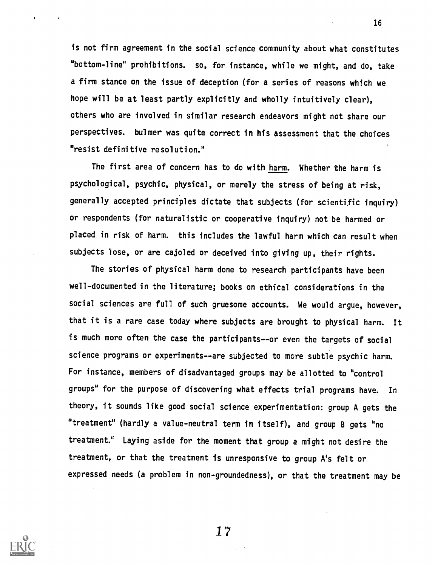is not firm agreement in the social science community about what constitutes "bottom-line" prohibitions. so, for instance, while we might, and do, take a firm stance on the issue of deception (for a series of reasons which we hope will be at least partly explicitly and wholly intuitively clear), others who are involved in similar research endeavors might not share our perspectives. bulmer was quite correct in his assessment that the choices "resist definitive resolution."

The first area of concern has to do with harm. Whether the harm is psychological, psychic, physical, or merely the stress of being at risk, generally accepted principles dictate that subjects (for scientific inquiry) or respondents (for naturalistic or cooperative inquiry) not be harmed or placed in risk of harm, this includes the lawful harm which can result when subjects lose, or are cajoled or deceived into giving up, their rights.

The stories of physical harm done to research participants have been well-documented in the literature; books on ethical considerations in the social sciences are full of such gruesome accounts. We would argue, however, that it is a rare case today where subjects are brought to physical harm. It is much more often the case the participants--or even the targets of social science programs or experiments--are subjected to more subtle psychic harm. For instance, members of disadvantaged groups may be allotted to "control groups" for the purpose of discovering what effects trial programs have. In theory, it sounds like good social science experimentation: group A gets the "treatment" (hardly a value-neutral term in itself), and group B gets "no treatment:' Laying aside for the moment that group a might not desire the treatment, or that the treatment is unresponsive to group A's felt or expressed needs (a problem in non-groundedness), or that the treatment may be

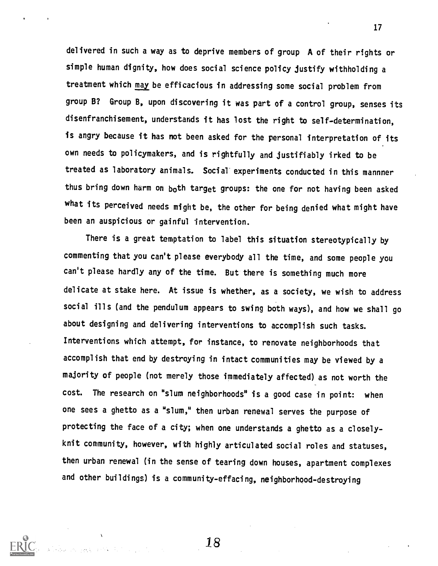delivered in such a way as to deprive members of group A of their rights or simple human dignity, how does social science policy justify withholding a treatment which may be efficacious in addressing some social problem from group B? Group B, upon discovering it was part of a control group, senses its disenfranchisement, understands it has lost the right to self-determination, is angry because it has not been asked for the personal interpretation of its own needs to policymakers, and is rightfully and justifiably irked to be treated as laboratory animals. Social experiments conducted in this mannner thus bring down harm on both target groups: the one for not having been asked what its perceived needs might be, the other for being denied what might have been an auspicious or gainful intervention.

There is a great temptation to label this situation stereotypically by commenting that you can't please everybody all the time, and some people you can't please hardly any of the time. But there is something much more delicate at stake here. At issue is whether, as a society, we wish to address social ills (and the pendulum appears to swing both ways), and how we shall go about designing and delivering interventions to accomplish such tasks. Interventions which attempt, for instance, to renovate neighborhoods that accomplish that end by destroying in intact communities may be viewed by a majority of people (not merely those immediately affected) as not worth the cost. The research on "slum neighborhoods" is a good case in point: when one sees a ghetto as a "slum," then urban renewal serves the purpose of protecting the face of a city; when one understands a ghetto as a closelyknit community, however, with highly articulated social roles and statuses, then urban renewal (in the sense of tearing down houses, apartment complexes and other buildings) is a community-effacing, neighborhood-destroying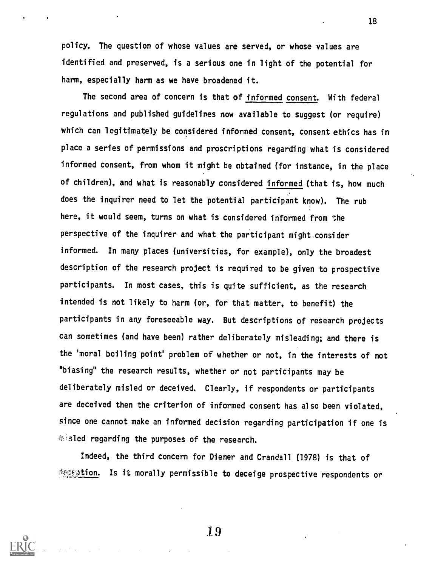policy. The question of whose values are served, or whose values are identified and preserved, is a serious one in light of the potential for harm, especially harm as we have broadened it.

18

The second area of concern is that of informed consent. With federal regulations and published guidelines now available to suggest (or require) which can legitimately be considered informed consent, consent ethics has in place a series of permissions and proscriptions regarding what is considered informed consent, from whom it might be obtained (for instance, in the place of children), and what is reasonably considered informed (that is, how much does the inquirer need to let the potential participant know). The rub here, it would seem, turns on what is considered informed from the perspective of the inquirer and what the participant might consider informed. In many places (universities, for example), only the broadest description of the research project is required to be given to prospective participants. In most cases, this is quite sufficient, as the research intended is not likely to harm (or, for that matter, to benefit) the participants in any foreseeable way. But descriptions of research projects can sometimes (and have been) rather deliberately misleading; and there is the 'moral boiling point' problem of whether or not, in the interests of not "biasing" the research results, whether or not participants may be deliberately misled or deceived. Clearly, if respondents or participants are deceived then the criterion of informed consent has also been violated, since one cannot make an informed decision regarding participation if one is a sled regarding the purposes of the research.

Indeed, the third concern for Diener and Crandall (1978) is that of deception. Is it morally permissible to deceige prospective respondents or

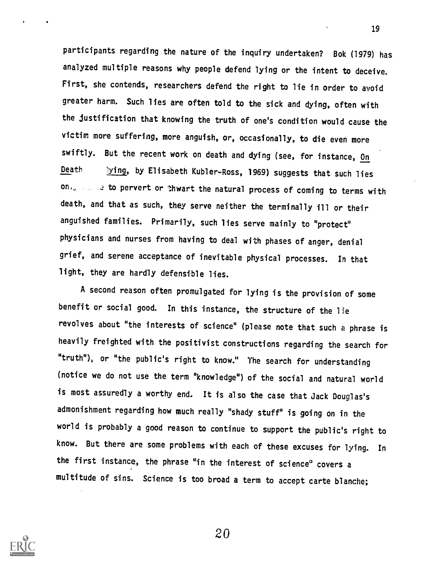participants regarding the nature of the inquiry undertaken? Bok (1979) has analyzed multiple reasons why people defend lying or the intent to deceive. First, she contends, researchers defend the right to lie in order to avoid greater harm. Such lies are often told to the sick and dying, often with the justification that knowing the truth of one's condition would cause the victim more suffering, more anguish, or, occasionally, to die even more swiftly. But the recent work on death and dying (see, for instance, On Death 1ying, by Elisabeth Kubler-Ross, 1969) suggests that such lies on, the set of pervert or thwart the natural process of coming to terms with death, and that as such, they serve neither the terminally ill or their anguished families. Primarily, such lies serve mainly to "protect" physicians and nurses from having to deal with phases of anger, denial grief, and serene acceptance of inevitable physical processes. In that light, they are hardly defensible lies.

A second reason often promulgated for lying is the provision of some benefit or social good. In this instance, the structure of the lie revolves about "the interests of science" (please note that such a phrase is heavily freighted with the positivist constructions regarding the search for "truth"), or "the public's right to know." The search for understanding (notice we do not use the term "knowledge") of the social and natural world is most assuredly a worthy end. It is also the case that Jack Douglas's admonishment regarding how much really "shady stuff" is going on in the world is probably a good reason to continue to support the public's right to know. But there are some problems with each of these excuses for lying. In the first instance, the phrase "in the interest of science' covers a multitude of sins. Science is too broad a term to accept carte blanche;

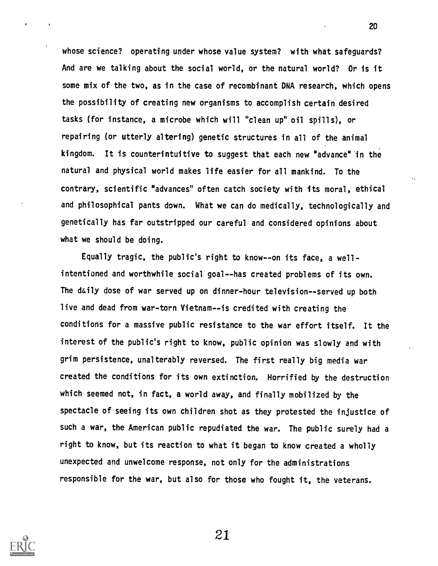whose science? operating under whose value system? with what safeguards? And are we talking about the social world, or the natural world? Or is it some mix of the two, as in the case of recombinant DNA research, which opens the possibility of creating new organisms to accomplish certain desired tasks (for instance, a microbe which will "clean up" oil spills), or repairing (or utterly altering) genetic structures in all of the animal kingdom. It is counterintuitive to suggest that each new "advance" in the natural and physical world makes life easier for all mankind. To the contrary, scientific "advances" often catch society with its moral, ethical and philosophical pants down. What we can do medically, technologically and genetically has far outstripped our careful and considered opinions about what we should be doing.

Equally tragic, the public's right to know--on its face, a wellintentioned and worthwhile social goal--has created problems of its own. The daily dose of war served up on dinner-hour television--served up both live and dead from war-torn Vietnam--is credited with creating the conditions for a massive public resistance to the war effort itself. It the interest of the public's right to know, public opinion was slowly and with grim persistence, unalterably reversed. The first really big media war created the conditions for its own extinction. Horrified by the destruction which seemed not, in fact, a world away, and finally mobilized by the spectacle of seeing its own children shot as they protested the injustice of such a war, the American public repudiated the war. The public surely had a right to know, but its reaction to what it began to know created a wholly unexpected and unwelcome response, not only for the administrations responsible for the war, but also for those who fought it, the veterans.

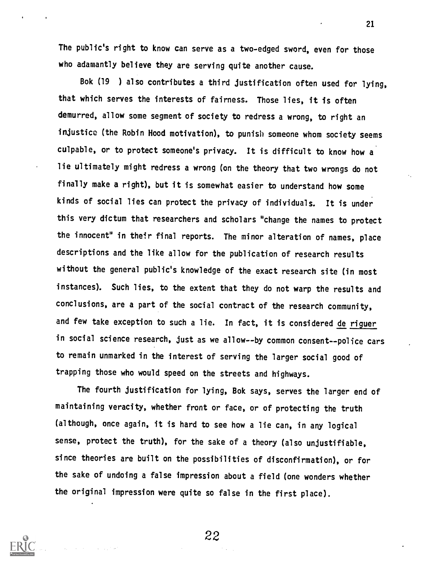The public's right to know can serve as a two-edged sword, even for those who adamantly believe they are serving quite another cause.

Bok (19 ) also contributes a third justification often used for lying, that which serves the interests of fairness. Those lies, it is often demurred, allow some segment of society to redress a wrong, to right an injustice (the Robin Hood motivation), to punish someone whom society seems culpable, or to protect someone's privacy. It is difficult to know how a lie ultimately might redress a wrong (on the theory that two wrongs do not finally make a right), but it is somewhat easier to understand how some kinds of social lies can protect the privacy of individuals. It is under this very dictum that researchers and scholars "change the names to protect the innocent" in their final reports. The minor alteration of names, place descriptions and the like allow for the publication of research results without the general public's knowledge of the exact research site (in most instances). Such lies, to the extent that they do not warp the results and conclusions, are a part of the social contract of the research community, and few take exception to such a lie. In fact, it is considered de riguer in social science research, just as we allow--by common consent--police cars to remain unmarked in the interest of serving the larger social good of trapping those who would speed on the streets and highways.

The fourth justification for lying, Bok says, serves the larger end of maintaining veracity, whether front or face, or of protecting the truth (although, once again, it is hard to see how a lie can, in any logical sense, protect the truth), for the sake of a theory (also unjustifiable, since theories are built on the possibilities of disconfirmation), or for the sake of undoing a false impression about a field (one wonders whether the original impression were quite so false in the first place).

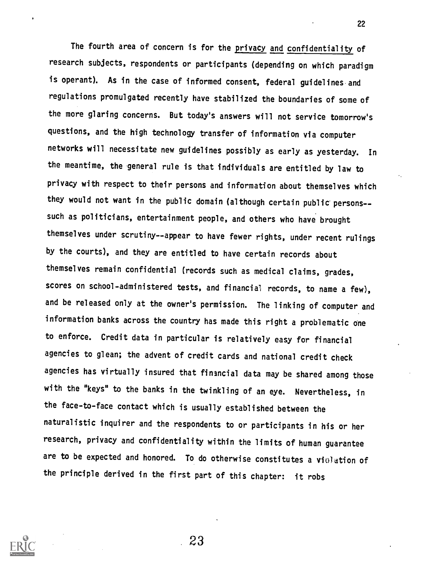The fourth area of concern is for the privacy and confidentiality of research subjects, respondents or participants (depending on which paradigm is operant). As in the case of informed consent, federal guidelines and regulations promulgated recently have stabilized the boundaries of some of the more glaring concerns. But today's answers will not service tomorrow's questions, and the high technology transfer of information via computer networks will necessitate new guidelines possibly as early as yesterday. In the meantime, the general rule is that individuals are entitled by law to privacy with respect to their persons and information about themselves which they would not want in the public domain (although certain public persons- such as politicians, entertainment people, and others who have brought themselves under scrutiny--appear to have fewer rights, under recent rulings by the courts), and they are entitled to have certain records about themselves remain confidential (records such as medical claims, grades, scores on school-administered tests, and financial records, to name a few), and be released only at the owner's permission. The linking of computer and information banks across the country has made this right a problematic one to enforce. Credit data in particular is relatively easy for financial agencies to glean; the advent of credit cards and national credit check agencies has virtually insured that financial data may be shared among those with the "keys" to the banks in the twinkling of an eye. Nevertheless, in the face-to-face contact which is usually established between the naturalistic inquirer and the respondents to or participants in his or her research, privacy and confidentiality within the limits of human guarantee are to be expected and honored. To do otherwise constitutes a violation of the principle derived in the first part of this chapter: it robs

23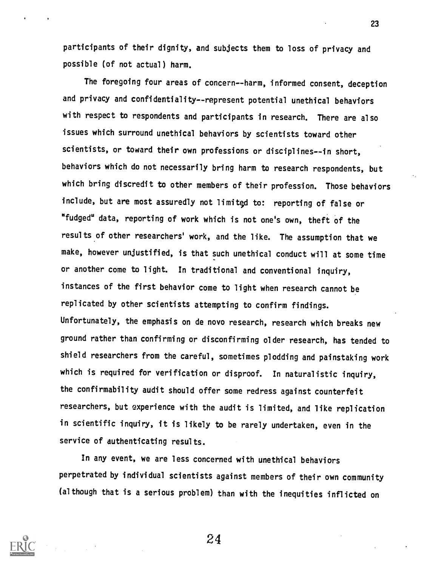participants of their dignity, and subjects them to loss of privacy and possible (of not actual) harm.

The foregoing four areas of concern--harm, informed consent, deception and privacy and confidentiality--represent potential unethical behaviors with respect to respondents and participants in research. There are also issues which surround unethical behaviors by scientists toward other scientists, or toward their own professions or disciplines--in short, behaviors which do not necessarily bring harm to research respondents, but which bring discredit to other members of their profession. Those behaviors include, but are most assuredly not limited to: reporting of false or "fudged" data, reporting of work which is not one's own, theft of the results of other researchers' work, and the like. The assumption that we make, however unjustified, is that such unethical conduct will at some time or another come to light. In traditional and conventional inquiry, instances of the first behavior come to light when research cannot be replicated by other scientists attempting to confirm findings. Unfortunately, the emphasis on de novo research, research which breaks new ground rather than confirming or disconfirming older research, has tended to shield researchers from the careful, sometimes plodding and painstaking work which is required for verification or disproof. In naturalistic inquiry, the confirmability audit should offer some redress against counterfeit researchers, but experience with the audit is limited, and like replication in scientific inquiry, it is likely to be rarely undertaken, even in the service of authenticating results.

In any event, we are less concerned with unethical behaviors perpetrated by individual scientists against members of their own community (although that is a serious problem) than with the inequities inflicted on



24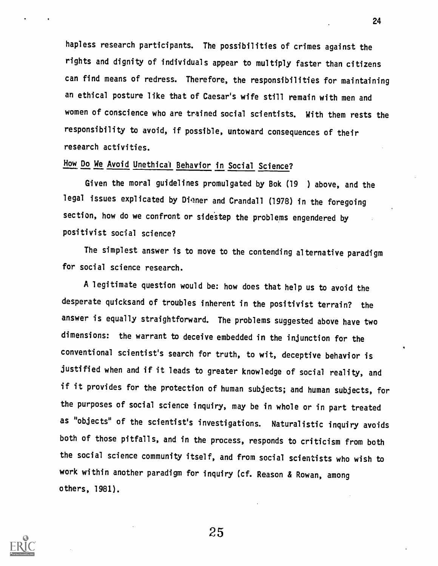hapless research participants. The possibilities of crimes against the rights and dignity of individuals appear to multiply faster than citizens can find means of redress. Therefore, the responsibilities for maintaining an ethical posture like that of Caesar's wife still remain with men and women of conscience who are trained social scientists. With them rests the responsibility to avoid, if possible, untoward consequences of their research activities.

# How Do We Avoid Unethical Behavior in Social Science?

Given the moral guidelines promulgated by Bok (19 ) above, and the legal issues explicated by Digner and Crandall (1978) in the foregoing section, how do we confront or sidestep the problems engendered by positivist social science?

The simplest answer is to move to the contending alternative paradigm for social science research.

A legitimate question would be: how does that help us to avoid the desperate quicksand of troubles inherent in the positivist terrain? the answer is equally straightforward. The problems suggested above have two dimensions: the warrant to deceive embedded in the injunction for the conventional scientist's search for truth, to wit, deceptive behavior is justified when and if it leads to greater knowledge of social reality, and if it provides for the protection of human subjects; and human subjects, for the purposes of social science inquiry, may be in whole or in part treated as "objects° of the scientist's investigations. Naturalistic inquiry avoids both of those pitfalls, and in the process, responds to criticism from both the social science community itself, and from social scientists who wish to work within another paradigm for inquiry (cf. Reason & Rowan, among others, 1981).



25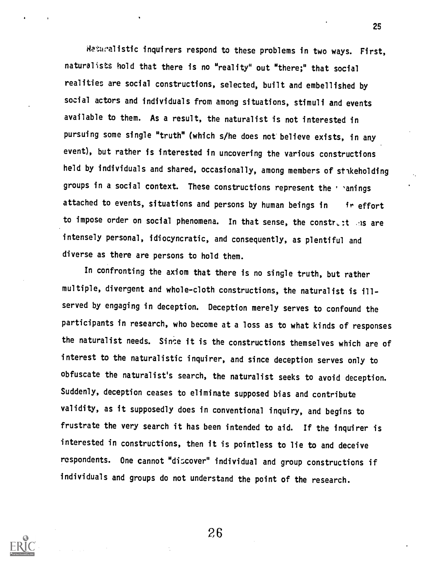dawalistic inquirers respond to these problems in two ways. First, naturalists hold that there is no "reality" out "there;" that social realities are social constructions, selected, built and embellished by social actors and individuals from among situations, stimuli and events available to them. As a result, the naturalist is not interested in pursuing some single "truth" (which s/he does not believe exists, in any event), but rather is interested in uncovering the various constructions held by individuals and shared, occasionally, among members of stakeholding groups in a social context. These constructions represent the ' 'anings attached to events, situations and persons by human beings in ir effort to impose order on social phenomena. In that sense, the constract ans are intensely personal, idiocyncratic, and consequently, as plentiful and diverse as there are persons to hold them.

25

In confronting the axiom that there is no single truth, but rather multiple, divergent and whole-cloth constructions, the naturalist is illserved by engaging in deception. Deception merely serves to confound the participants in research, who become at a loss as to what kinds of responses the naturalist needs. Since it is the constructions themselves which are of interest to the naturalistic inquirer, and since deception serves only to obfuscate the naturalist's search, the naturalist seeks to avoid deception. Suddenly, deception ceases to eliminate supposed bias and contribute validity, as it supposedly does in conventional inquiry, and begins to frustrate the very search it has been intended to aid. If the inquirer is interested in constructions, then it is pointless to lie to and deceive respondents. One cannot "discover" individual and group constructions if individuals and groups do not understand the point of the research.

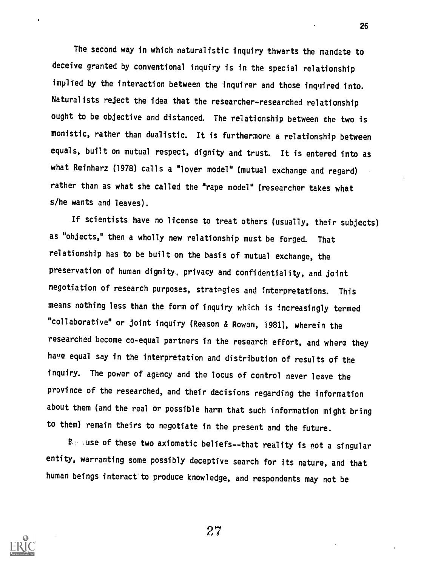The second way in which naturalistic inquiry thwarts the mandate to deceive granted by conventional inquiry is in the special relationship implied by the interaction between the inquirer and those inquired into. Naturalists reject the idea that the researcher-researched relationship ought to be objective and distanced. The relationship between the two is monistic, rather than dualistic. It is furthermore a relationship between equals, built on mutual respect, dignity and trust. It is entered into as what Reinharz (1978) calls a "lover model" (mutual exchange and regard) rather than as what she called the "rape model" (researcher takes what s/he wants and leaves).

If scientists have no license to treat others (usually, their subjects) as "objects," then a wholly new relationship must be forged. That relationship has to be built on the basis of mutual exchange, the preservation of human dignity, privacy and confidentiality, and joint negotiation of research purposes, stratagies and interpretations. This means nothing less than the form of inquiry which is increasingly termed "collaborative" or joint inquiry (Reason & Rowan, 1981), wherein the researched become co-equal partners in the research effort, and where they have equal say in the interpretation and distribution of results of the inquiry. The power of agency and the locus of control never leave the province of the researched, and their decisions regarding the information about them (and the real or possible harm that such information might bring to them) remain theirs to negotiate in the present and the future.

Bo suse of these two axiomatic beliefs--that reality is not a singular entity, warranting some possibly deceptive search for its nature, and that human beings interact to produce knowledge, and respondents may not be



27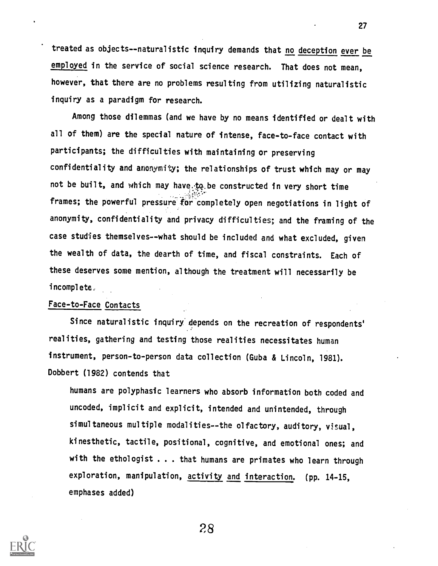treated as objects--naturalistic inquiry demands that no deception ever be employed in the service of social science research. That does not mean, however, that there are no problems resulting from utilizing naturalistic inquiry as a paradigm for research.

Among those dilemmas (and we have by no means identified or dealt with all of them) are the special nature of intense, face-to-face contact with participants; the difficulties with maintaining or preserving confidentiality and anonymity; the relationships of trust which may or may not be built, and which may have to be constructed in very short time frames; the powerful pressure for completely open negotiations in light of anonymity, confidentiality and privacy difficulties; and the framing of the case studies themselves--what should be included and what excluded, given the wealth of data, the dearth of time, and fiscal constraints. Each of these deserves some mention, although the treatment will necessarily be incomplete,

# Face-to-Face Contacts

Since naturalistic inquiry depends on the recreation of respondents' realities, gathering and testing those realities necessitates human instrument, person-to-person data collection (Guba & Lincoln, 1981). Dobbert (1982) contends that

humans are polyphasic learners who absorb information both coded and uncoded, implicit and explicit, intended and unintended, through simultaneous multiple modalities--the olfactory, auditory, visual, kinesthetic, tactile, positional, cognitive, and emotional ones; and with the ethologist . . . that humans are primates who learn through exploration, manipulation, activity and interaction. (pp. 14-15, emphases added)



28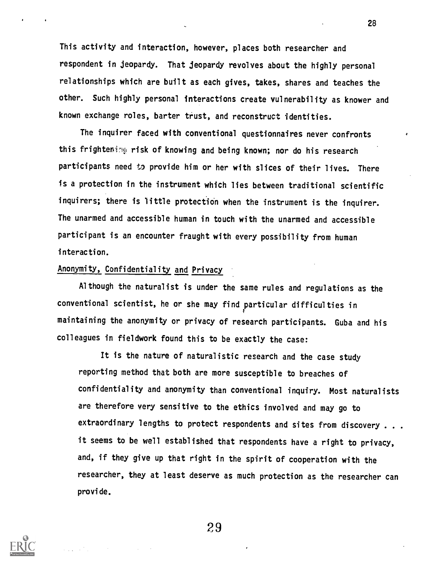This activity and interaction, however, places both researcher and respondent in jeopardy. That jeopardy revolves about the highly personal relationships which are built as each gives, takes, shares and teaches the other. Such highly personal interactions create vulnerability as knower and known exchange roles, barter trust, and reconstruct identities.

The inquirer faced with conventional questionnaires never confronts this frightening risk of knowing and being known; nor do his research participants need to provide him or her with slices of their lives. There is a protection in the instrument which lies between traditional scientific inquirers; there is little protection when the instrument is the inquirer. The unarmed and accessible human in touch with the unarmed and accessible participant is an encounter fraught with every possibility from human interaction.

# Anonymity, Confidentiality and Privacy

Although the naturalist is under the same rules and regulations as the conventional scientist, he or she may find particular difficulties in maintaining the anonymity or privacy of research participants. Guba and his colleagues in fieldwork found this to be exactly the case:

It is the nature of naturalistic research and the case study reporting method that both are more susceptible to breaches of confidentiality and anonymity than conventional inquiry. Most naturalists are therefore very sensitive to the ethics involved and may go to extraordinary lengths to protect respondents and sites from discovery . . .it seems to be well established that respondents have a right to privacy, and, if they give up that right in the spirit of cooperation with the researcher, they at least deserve as much protection as the researcher can provide.

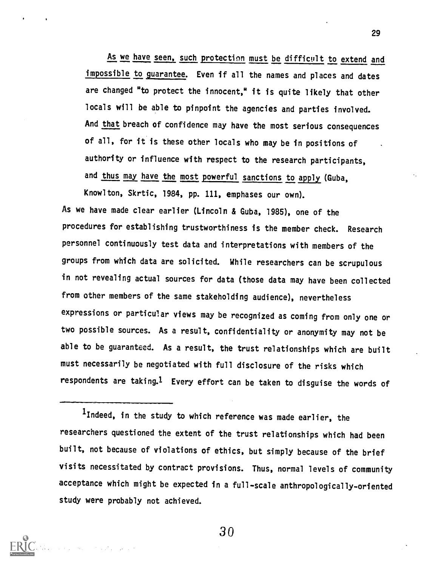As we have seen, such protection must be difficult to extend and impossible to guarantee. Even if all the names and places and dates are changed "to protect the innocent," it is quite likely that other locals will be able to pinpoint the agencies and parties involved. And that breach of confidence may have the most serious consequences of all, for it is these other locals who may be in positions of authority or influence with respect to the research participants, and thus may have the most powerful sanctions to apply (Guba,

Knowlton, Skrtic, 1984, pp. 111, emphases our own). As we have made clear earlier (Lincoln & Guba, 1985), one of the procedures for establishing trustworthiness is the member check. Research personnel continuously test data and interpretations with members of the groups from which data are solicited. While researchers can be scrupulous in not revealing actual sources for data (those data may have been collected from other members of the same stakeholding audience), nevertheless expressions or particular views may be recognized as coming from only one or two possible sources. As a result, confidentiality or anonymity may not be able to be guaranteed. As a result, the trust relationships which are built must necessarily be negotiated with full disclosure of the risks which respondents are taking.1 Every effort can be taken to disguise the words of

lIndeed, in the study to which reference was made earlier, the researchers questioned the extent of the trust relationships which had been built, not because of violations of ethics, but simply because of the brief visits necessitated by contract provisions. Thus, normal levels of community acceptance which might be expected in a full-scale anthropologically-oriented study were probably not achieved.

3 0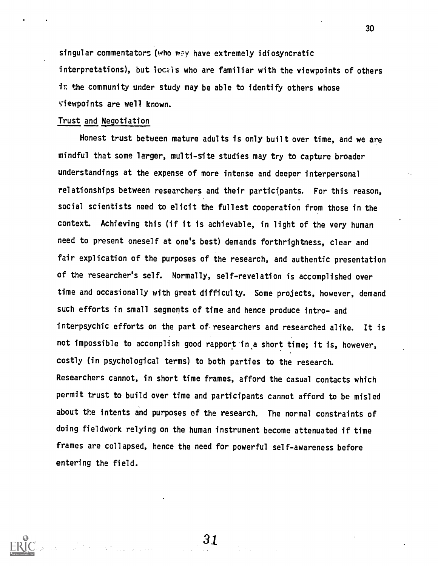singular commentators (who may have extremely idiosyncratic interpretations), but locals who are familiar with the viewpoints of others ir the community under study may be able to identify others whose viewpoints are well knowm.

### Trust and Negotiation

Honest trust between mature adults is only built over time, and we are mindful that some larger, multi-site studies may try to capture broader understandings at the expense of more intense and deeper interpersonal relationships between researchers and their participants. For this reason, social scientists need to elicit the fullest cooperation from those in the context. Achieving this (if it is achievable, in light of the very human need to present oneself at one's best) demands forthrightness, clear and fair explication of the purposes of the research, and authentic presentation of the researcher's self. Normally, self-revelation is accomplished over time and occasionally with great difficulty. Some projects, however, demand such efforts in small segments of time and hence produce intro- and interpsychic efforts on the part of researchers and researched alike. It is not impossible to accomplish good rapport in a short time; it is, however, costly (in psychological terms) to both parties to the research. Researchers cannot, in short time frames, afford the casual contacts which permit trust to build over time and participants cannot afford to be misled about the intents and purposes of the research. The normal constraints of doing fieldwork relying on the human instrument become attenuated if time frames are collapsed, hence the need for powerful self-awareness before entering the field.

30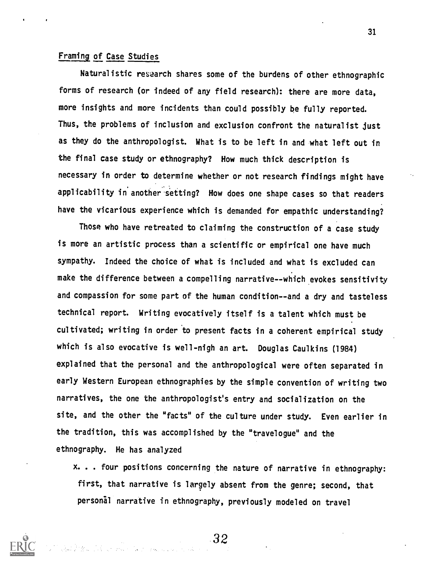### Framing of Case Studies

Naturalistic research shares some of the burdens of other ethnographic forms of research (or indeed of any field research): there are more data, more insights and more incidents than could possibly be fully reported. Thus, the problems of inclusion and exclusion confront the naturalist just as they do the anthropologist. What is to be left in and what left out in the final case study or ethnography? How much thick description is necessary in order to determine whether or not research findings might have applicability in another setting? How does one shape cases so that readers have the vicarious experience which is demanded for empathic understanding?

Those who have retreated to claiming the construction of a case study is more an artistic process than a scientific or empirical one have much sympathy. Indeed the choice of what is included and what is excluded can make the difference between a compelling narrative--which evokes sensitivity and compassion for some part of the human condition--and a dry and tasteless technical report. Writing evocatively itself is a talent which must be cultivated; writing in order to present facts in a coherent empirical study which is also evocative is well-nigh an art. Douglas Caulkins (1984) explained that the personal and the anthropological were often separated in early Western European ethnographies by the simple convention of writing two narratives, the one the anthropologist's entry and socialization on the site, and the other the "facts" of the culture under study. Even earlier in the tradition, this was accomplished by the "travelogue" and the ethnography. He has analyzed

x. . . four positions concerning the nature of narrative in ethnography: first, that narrative is largely absent from the genre; second, that personal narrative in ethnography, previously modeled on travel



32an<br>And Miller (And are not a change of a state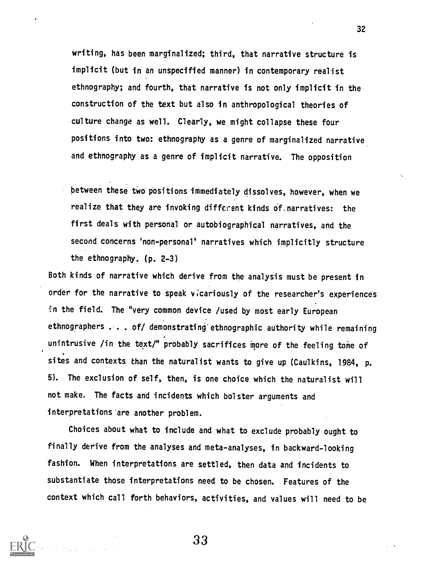writing, has been marginalized; third, that narrative structure is implicit (but in an unspecified manner) in contemporary realist ethnography; and fourth, that narrative is not only implicit in the construction of the text but also in anthropological theories of culture change as well. Clearly, we might collapse these four positions into two: ethnography as a genre of marginalized narrative and ethnography as a genre of implicit narrative. The opposition

between these two positions immediately dissolves, however, when we realize that they are invoking different kinds 6f.narratives: the first deals with personal or autobiographical narratives, and the second concerns 'non-personal' narratives which implicitly structure the ethnography. (p. 2-3)

Both kinds of narrative which derive from the analysis must be present in order for the narrative to speak vicariously of the researcher's experiences in the field. The "very common device /used by most early European ethnographers . . . of/ demonstrating ethnographic authority while remaining unintrusive /in the text/" probably sacrifices more of the feeling tone of sites and contexts than the naturalist wants to give up (Caulkins, 1984, p. 5). The exclusion of self, then, is one choice which the naturalist will not make. The facts and incidents which bolster arguments and interpretations'are another problem.

Choices about what to include and what to exclude probably ought to finally derive from the analyses and meta-analyses, in backward-looking fashion. When interpretations are settled, then data and incidents to substantiate those interpretations need to be chosen. Features of the context which call forth behaviors, activities, and values will need to be

33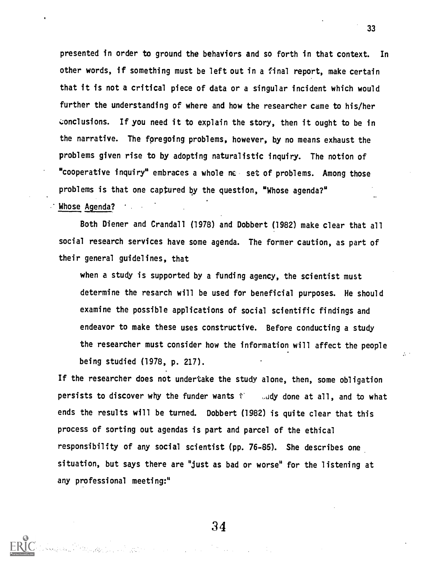presented in order to ground the behaviors and so forth in that context. In other words, if something must be left out in a final report, make certain that it is not a critical piece of data or a singular incident which would further the understanding of where and how the researcher came to his/her conclusions. If you need it to explain the story, then it ought to be in the narrative. The foregoing problems, however, by no means exhaust the problems given rise to by adopting naturalistic inquiry. The notion of "cooperative inquiry" embraces a whole ne set of problems. Among those problems is that one captured by the question, "Whose agenda?" Whose Agenda? . . . .

Both Diener and Crandall (1978) and Dobbert (1982) make clear that all social research services have some agenda. The former caution, as part of their general guidelines, that

when a study is supported by a funding agency, the scientist must determine the resarch will be used for beneficial purposes. He should examine the possible applications of social scientific findings and endeavor to make these uses constructive. Before conducting a study the researcher must consider how the information will affect the people being studied (1978, p. 217).

If the researcher does not undertake the study alone, then, some obligation persists to discover why the funder wants  $t'$  and done at all, and to what ends the results will be turned. Dobbert (1982) is quite clear that this process of sorting out agendas is part and parcel of the ethical responsibility of any social scientist (pp. 76-85). She describes one situation, but says there are "just as bad or worse" for the listening at any professional meeting:"

33

 $\mathcal{L}^{\mathcal{L}}$  .

34

an<br>1954 - André de Carolina de Carolina (de Carolina)<br>1955 - André de Carolina (de Carolina)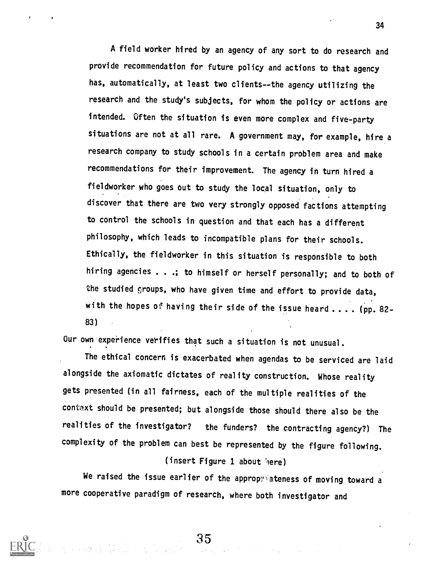A field worker hired by an agency of any sort to do research and provide recommendation for future policy and actions to that agency has, automatically, at least two clients--the agency utilizing the research and the study's subjects, for whom the policy or actions are intended. Often the situation is even more complex and five-party situations are not at all rare. A government may, for example, hire <sup>a</sup> research company to study schools in a certain problem area and make recommendations for their improvement. The agency in turn hired a fieldworker who goes out to study the local situation, only to discover that there are two very strongly opposed factions attempting to control the schools in question and that each has a different philosophy, which leads to incompatible plans for their schools. Ethically, the fieldworker in this situation is responsible to both hiring agencies . . .; to himself or herself personally; and to both of the studied groups, who have given time and effort to provide data, with the hopes of having their side of the issue heard.... (pp. 82-83)

Our own experience verifies that such a situation is not unusual.

The ethical concern is exacerbated when agendas to be serviced are laid alongside the axiomatic dictates of reality construction. Whose reality gets presented (in all fairness, each of the multiple realities of the contaxt should be presented; but alongside those should there also be the realities of the investigator? the funders? the contracting agency?) The complexity of the problem can best be represented by the figure following.

## (insert Figure 1 about here)

We raised the issue earlier of the appropriateness of moving toward a more cooperative paradigm of research, where both investigator and

34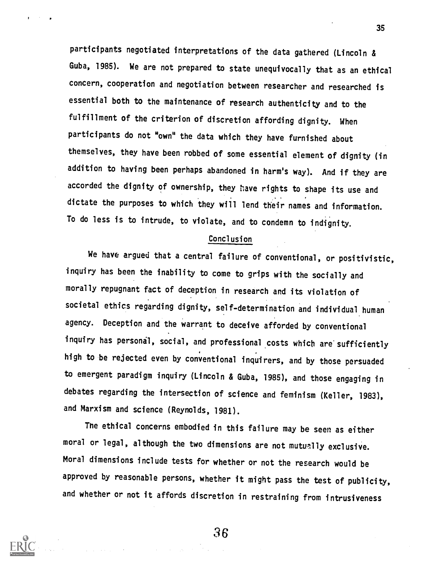participants negotiated interpretations of the data gathered (Lincoln & Guba, 1985). We are not prepared to state unequivocally that as an ethical concern, cooperation and negotiation between researcher and researched is essential both to the maintenance of research authenticity and to the fulfillment of the criterion of discretion affording dignity. When participants do not "own" the data which they have furnished about themselves, they have been robbed of some essential element of dignity (in addition to having been perhaps abandoned in harm's way). And if they are accorded the dignity of ownership, they have rights to shape its use and dictate the purposes to which they will lend their names and information. To do less is to intrude, to violate, and to condemn to indignity.

### Conclusion

We have argued that a central failure of conventional, or positivistic, inquiry has been the inability to come to grips with the socially and morally repugnant fact of deception in research and its violation of societal ethics regarding dignity, self-determination and individual human agency. Deception and the warrant to deceive afforded by conventional inquiry has personal, social, and professional costs which are sufficiently high to be rejected even by conventional inquirers, and by those persuaded to emergent paradigm inquiry (Lincoln & Guba, 1985), and those engaging in debates regarding the intersection of science and feminism (Keller, 1983), and Marxism and science (Reynolds, 1981).

The ethical concerns embodied in this failure may be seen as either moral or legal, although the two dimensions are not mutually exclusive. Moral dimensions include tests for whether or not the research would be approved by reasonable persons, whether it might pass the test of publicity, and whether or not it affords discretion in restraining from intrusiveness



36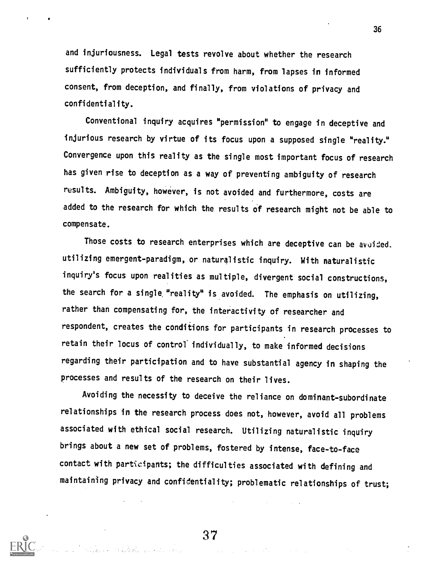and injuriousness. Legal tests revolve about whether the research sufficiently protects individuals from harm, from lapses in informed consent, from deception, and finally, from violations of privacy and confidentiality.

Conventional inquiry acquires "permission" to engage in deceptive and injurious research by virtue of its focus upon a supposed single "reality." Convergence upon this reality as the single most important focus of research has given rise to deception as a way of preventing ambiguity of research results. Ambiguity, however, is not avoided and furthermore, costs are added to the research for which the results of research might not be able to compensate.

Those costs to research enterprises which are deceptive can be avuided. utilizing emergent-paradigm, or naturalistic inquiry. With naturalistic inquiry's focus upon realities as multiple, divergent social constructions, the search for a single "reality" is avoided. The emphasis on utilizing, rather than compensating for, the interactivity of researcher and respondent, creates the conditions for participants in research processes to retain their locus of controf individually, to make informed decisions regarding their participation and to have substantial agency in shaping the processes and results of the research on their lives.

Avoiding the necessity to deceive the reliance on dominant-subordinate relationships in the research process does not, however, avoid all problems associated with ethical social research. Utilizing naturalistic inquiry brings about a new set of problems, fostered by intense, face-to-face contact with participants; the difficulties associated with defining and maintaining privacy and confidentiality; problematic relationships of trust;



 $\mathcal{L}_{\mathcal{A}}$  and  $\mathcal{L}_{\mathcal{A}}$  are the set of the set of the set of  $\mathcal{L}_{\mathcal{A}}$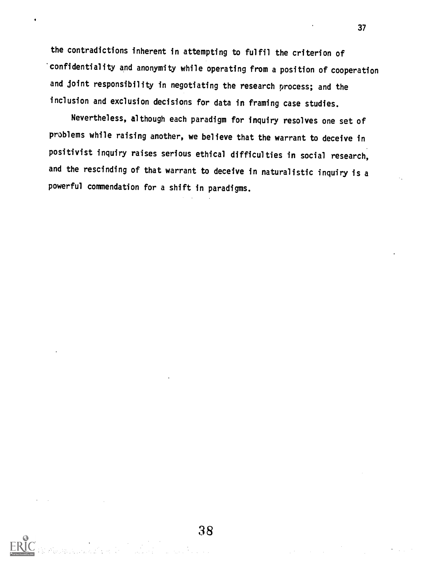the contradictions inherent in attempting to fulfil the criterion of confidentiality and anonymity while operating from a position of cooperation and Joint responsibility in negotiating the research process; and the inclusion and exclusion decisions for data in framing case studies.

Nevertheless, although each paradigm for inquiry resolves one set of problems while raising another, we believe that the warrant to deceive in positivist inquiry raises serious ethical difficulties in social research, and the rescinding of that warrant to deceive in naturalistic inquiry is <sup>a</sup> powerful commendation for a shift in paradigms.

38

a a chuid anns an t-ainm.<br>Tha an t-ainm an t-ainm an t-ainm an t-ainm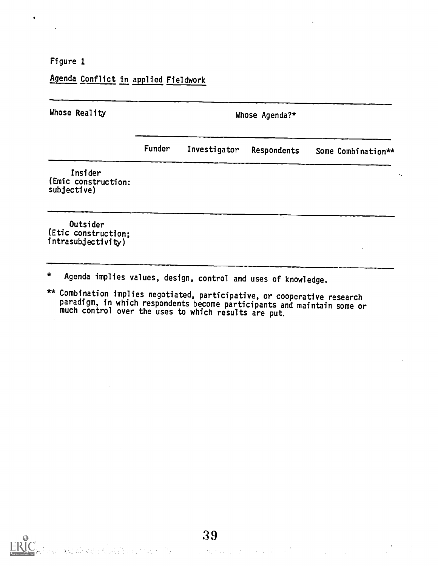Figure 1

 $\bullet$ 

Agenda Conflict in applied Fieldwork

| Whose Reality                                         | Whose Agenda?* |              |             |                    |  |
|-------------------------------------------------------|----------------|--------------|-------------|--------------------|--|
|                                                       | Funder         | Investigator | Respondents | Some Combination** |  |
| Insider<br>(Emic construction:<br>subjective)         |                |              |             |                    |  |
| Outsider<br>(Etic construction;<br>intrasubjectivity) |                |              |             |                    |  |

- \* Agenda implies values, design, control and uses of knowledge.
- \*\* Combination implies negotiated, participative, or cooperative research paradigm, in which respondents become participants and maintain some or much control over the uses to which results are put.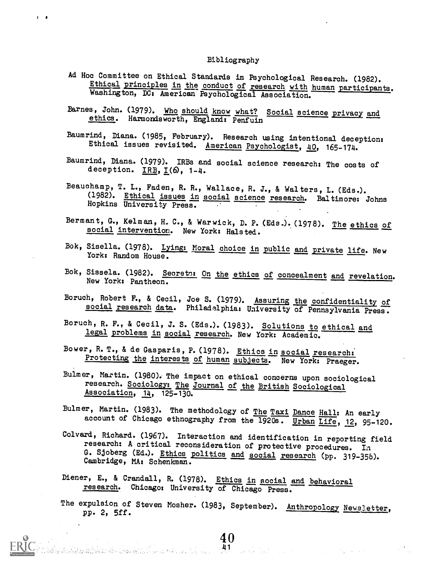#### Bibliography

<sup>1</sup> II

- Ad Hoc Committee on Ethical Standards in Psychological Research. (1982). Ethical principles in the conduct of research with human participants. Washington, DC: American Psychological Association.
- Barnes, John. (1979). Who should know what? Social science privacy and ethics. Harmondsworth, England: Penfuin
- Baumrind, Diana. (1985, February). Research using intentional deception: Ethical issues revisited. American Psychologist, 40, 165-174.
- Baumrind, Diana. (1979). IRBs and social science research: The costs of deception.  $IRB, I(6, 1-4.$
- Beauchamp, T. L., Faden, R. R., Wallace, R. J., & Walters, L. (Eds.). (1982). Ethical issues in social science research. Baltimore: Johns Hopkins University Press.
- Bermant, G., Kelman, H. C., & Warwick, D. P. (Eds.). (1978). The ethics of social intervention. New York: Halsted.
- Bok, Sisella. (1978). Lying: Moral choice in public and private life. New York: Random House.
- Bok, Sissela. (1982). Secrets: On the ethics of concealment and revelation.<br>New York: Pantheon.
- Boruch, Robert F., & Cecil, Joe S. (1979). Assuring the confidentiality of social research data. Philadelphia: University of Pennsylvania Press.
- Boruch, R. F., & Cecil, J. S. (Eds.). (1983). Solutions to ethical and legal problems in social research. New York: Academic.
- Bower, R. T., & de Gasparis, P. (1978). Ethics in social research: Protecting the interests of human subjects. New York: Praeger.
- Bulmer, Martin. (1980). The impact on ethical concerns upon sociological research. Sociology: The Journal of the British Sociological Association, 14, 125-130.
- Bulmer, Martin. (1983). The methodology of The Taxi Dance Hall: An early account of Chicago ethnography from the 1920s. Urban Life, 12, 95-120.
- Colvard, Richard. (1967). Interaction and identification in reporting field research: A critical reconsideration of protective procedures. In G. Sjoberg (Ed.). Ethics politics and social research (pp. 319-358). Cambridge, MA: Schenkman.
- Diener, E., & Crandall, R. (1978). Ethics in social and behavioral research. Chicago: University of Chicago Press.

.<br>ในวันที่ เนื้อไม่มีเหมาะที่เปิดใจเป็นการให้ความเหมาะที่เป็นการใช้ เราจะเป็นการใช้ เป็นการใช้เป็นการเป็นการเป็น

The expulsion of Steven Mosher. (1983, September). Anthropology Newsletter, pp. 2, 5ff.

 $\frac{40}{41}$  and the set of the set of the set of the set of the set of the set of the set of the set of the set of the set of the set of the set of the set of the set of the set of the set of the set of the set of the set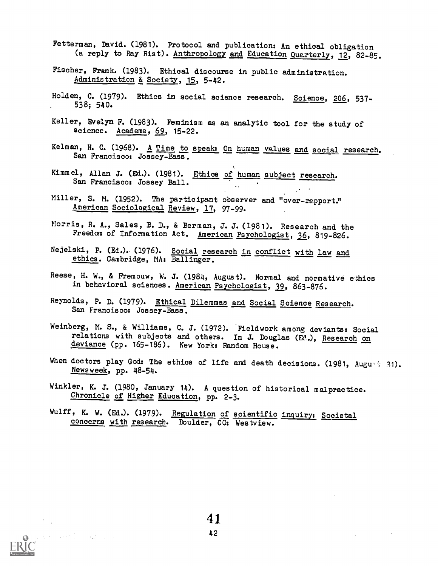- Fetterman, David. (1981). Protocol and publication: An ethical obligation (a reply to Ray Rist). Anthropology and Education Quarterly, 12, 82-85.
- Fischer, Frank. (1983). Ethical discourse in public administration. Administration & Society, 15, 5-42.
- Holden, C. (1979). Ethics in social science research. Science, 206, 537-. 538; 540.
- Keller, Evelyn F. (1983). Feminism as an analytic tool for the study of science. Academe, 69, 15-22.
- Kelman, H. C. (1968). A Time to speak: On human values and social research. San Francisco: Jossey-Bass.
- Kimmel, Allan J. (Ed.). (1981). Ethics of human subject research. San Francisco: Jossey Ball.
- Miller, S. M. (1952). The participant observer and "over-rapport." American Sociological Review, 17, 97-99.
- Morris, R. A., Sales, B. D., & Berman, J. J. (1981). Research and the Freedom of Information Act. American Psychologist, 36, 819-826.
- Nejelski, P. (Ed.). (1976). Social research in conflict with law and ethics. Cambridge, MA; Ballinger.
- Reese, H. W., & Fremouw, W. J. (1984, August). Normal and normative ethics in behavioral sciences. American Psychologist, 32, 863-876.
- Reynolds, P. D. (1979). Ethical Dilemmas and Social Science Research. San Francisco: Jossey-Bass.
- Weinberg, M. S., & Williams, C. J. (1972). 'Fieldwork among deviants: Social relations with subjects and others. In J. Douglas (Ed.), Research on deviance (pp. 165-186). New York: Random House.
- When doctors play God: The ethics of life and death decisions. (1981, Augu-', 31). Newsweek, pp. 48-54.
- Winkler, K. J. (1980, January 14). A question of historical malpractice. Chronicle of Higher Education, pp. 2-3.
- Wulff, K. W. (Ed.). (1979). Regulation of scientific inquiry: Societal concerns with research. Boulder, CO: Westview.

a<br>Martin Martin Alban (1994)

 $\sim$